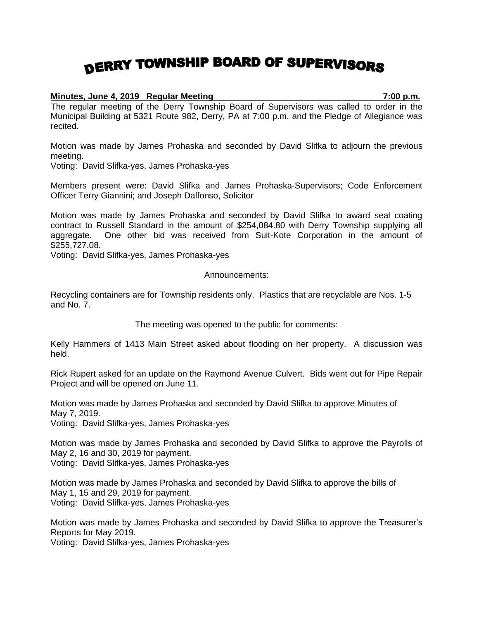## DERRY TOWNSHIP BOARD OF SUPERVISORS

## **Minutes, June 4, 2019 Regular Meeting 7:00 p.m.**

The regular meeting of the Derry Township Board of Supervisors was called to order in the Municipal Building at 5321 Route 982, Derry, PA at 7:00 p.m. and the Pledge of Allegiance was recited.

Motion was made by James Prohaska and seconded by David Slifka to adjourn the previous meeting.

Voting: David Slifka-yes, James Prohaska-yes

Members present were: David Slifka and James Prohaska-Supervisors; Code Enforcement Officer Terry Giannini; and Joseph Dalfonso, Solicitor

Motion was made by James Prohaska and seconded by David Slifka to award seal coating contract to Russell Standard in the amount of \$254,084.80 with Derry Township supplying all aggregate. One other bid was received from Suit-Kote Corporation in the amount of \$255,727.08.

Voting: David Slifka-yes, James Prohaska-yes

Announcements:

Recycling containers are for Township residents only. Plastics that are recyclable are Nos. 1-5 and No. 7.

The meeting was opened to the public for comments:

Kelly Hammers of 1413 Main Street asked about flooding on her property. A discussion was held.

Rick Rupert asked for an update on the Raymond Avenue Culvert. Bids went out for Pipe Repair Project and will be opened on June 11.

Motion was made by James Prohaska and seconded by David Slifka to approve Minutes of May 7, 2019.

Voting: David Slifka-yes, James Prohaska-yes

Motion was made by James Prohaska and seconded by David Slifka to approve the Payrolls of May 2, 16 and 30, 2019 for payment.

Voting: David Slifka-yes, James Prohaska-yes

Motion was made by James Prohaska and seconded by David Slifka to approve the bills of May 1, 15 and 29, 2019 for payment. Voting: David Slifka-yes, James Prohaska-yes

Motion was made by James Prohaska and seconded by David Slifka to approve the Treasurer's Reports for May 2019.

Voting: David Slifka-yes, James Prohaska-yes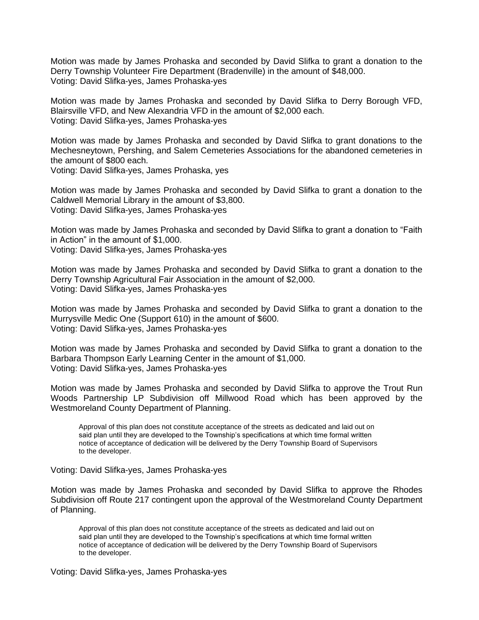Motion was made by James Prohaska and seconded by David Slifka to grant a donation to the Derry Township Volunteer Fire Department (Bradenville) in the amount of \$48,000. Voting: David Slifka-yes, James Prohaska-yes

Motion was made by James Prohaska and seconded by David Slifka to Derry Borough VFD, Blairsville VFD, and New Alexandria VFD in the amount of \$2,000 each. Voting: David Slifka-yes, James Prohaska-yes

Motion was made by James Prohaska and seconded by David Slifka to grant donations to the Mechesneytown, Pershing, and Salem Cemeteries Associations for the abandoned cemeteries in the amount of \$800 each.

Voting: David Slifka-yes, James Prohaska, yes

Motion was made by James Prohaska and seconded by David Slifka to grant a donation to the Caldwell Memorial Library in the amount of \$3,800. Voting: David Slifka-yes, James Prohaska-yes

Motion was made by James Prohaska and seconded by David Slifka to grant a donation to "Faith in Action" in the amount of \$1,000. Voting: David Slifka-yes, James Prohaska-yes

Motion was made by James Prohaska and seconded by David Slifka to grant a donation to the Derry Township Agricultural Fair Association in the amount of \$2,000. Voting: David Slifka-yes, James Prohaska-yes

Motion was made by James Prohaska and seconded by David Slifka to grant a donation to the Murrysville Medic One (Support 610) in the amount of \$600. Voting: David Slifka-yes, James Prohaska-yes

Motion was made by James Prohaska and seconded by David Slifka to grant a donation to the Barbara Thompson Early Learning Center in the amount of \$1,000. Voting: David Slifka-yes, James Prohaska-yes

Motion was made by James Prohaska and seconded by David Slifka to approve the Trout Run Woods Partnership LP Subdivision off Millwood Road which has been approved by the Westmoreland County Department of Planning.

Approval of this plan does not constitute acceptance of the streets as dedicated and laid out on said plan until they are developed to the Township's specifications at which time formal written notice of acceptance of dedication will be delivered by the Derry Township Board of Supervisors to the developer.

Voting: David Slifka-yes, James Prohaska-yes

Motion was made by James Prohaska and seconded by David Slifka to approve the Rhodes Subdivision off Route 217 contingent upon the approval of the Westmoreland County Department of Planning.

Approval of this plan does not constitute acceptance of the streets as dedicated and laid out on said plan until they are developed to the Township's specifications at which time formal written notice of acceptance of dedication will be delivered by the Derry Township Board of Supervisors to the developer.

Voting: David Slifka-yes, James Prohaska-yes